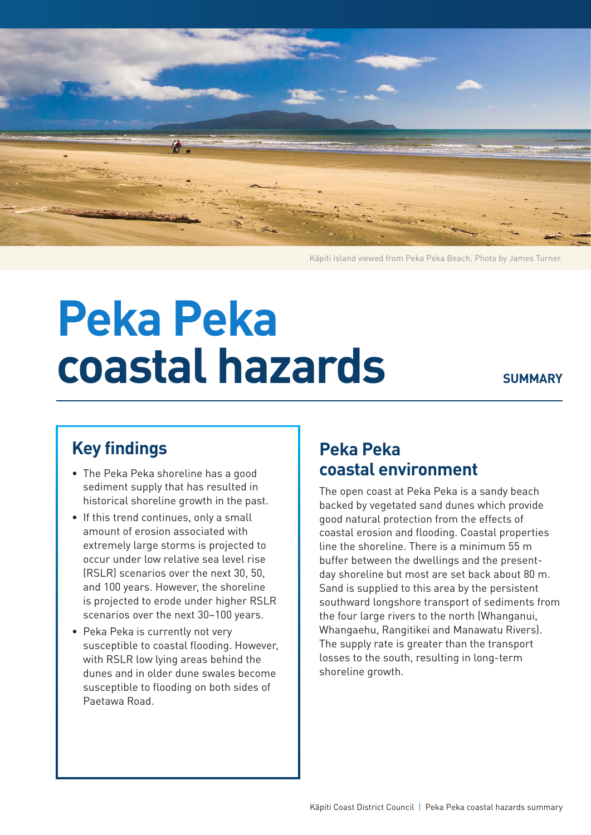

Kāpiti Island viewed from Peka Peka Beach. Photo by James Turner.

# **Peka Peka coastal hazards**

#### **SUMMARY**

# **Key findings**

- The Peka Peka shoreline has a good sediment supply that has resulted in historical shoreline growth in the past.
- If this trend continues, only a small amount of erosion associated with extremely large storms is projected to occur under low relative sea level rise (RSLR) scenarios over the next 30, 50, and 100 years. However, the shoreline is projected to erode under higher RSLR scenarios over the next 30–100 years.
- Peka Peka is currently not very susceptible to coastal flooding. However, with RSLR low lying areas behind the dunes and in older dune swales become susceptible to flooding on both sides of Paetawa Road.

## **Peka Peka coastal environment**

The open coast at Peka Peka is a sandy beach backed by vegetated sand dunes which provide good natural protection from the effects of coastal erosion and flooding. Coastal properties line the shoreline. There is a minimum 55 m buffer between the dwellings and the presentday shoreline but most are set back about 80 m. Sand is supplied to this area by the persistent southward longshore transport of sediments from the four large rivers to the north (Whanganui, Whangaehu, Rangitikei and Manawatu Rivers). The supply rate is greater than the transport losses to the south, resulting in long-term shoreline growth.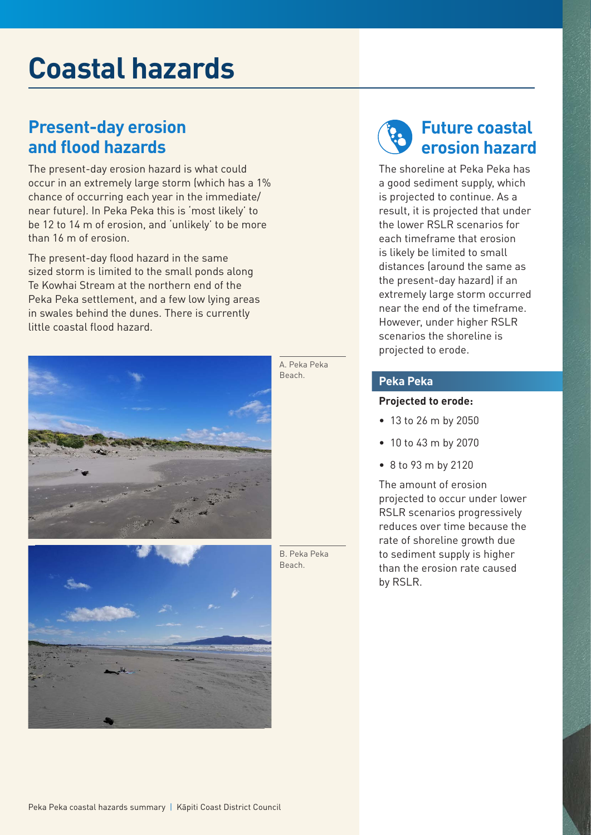# **Coastal hazards**

### **Present-day erosion and flood hazards**

The present-day erosion hazard is what could occur in an extremely large storm (which has a 1% chance of occurring each year in the immediate/ near future). In Peka Peka this is 'most likely' to be 12 to 14 m of erosion, and 'unlikely' to be more than 16 m of erosion.

The present-day flood hazard in the same sized storm is limited to the small ponds along Te Kowhai Stream at the northern end of the Peka Peka settlement, and a few low lying areas in swales behind the dunes. There is currently little coastal flood hazard.





A. Peka Peka Beach.

B. Peka Peka Beach.



The shoreline at Peka Peka has a good sediment supply, which is projected to continue. As a result, it is projected that under the lower RSLR scenarios for each timeframe that erosion is likely be limited to small distances (around the same as the present-day hazard) if an extremely large storm occurred near the end of the timeframe. However, under higher RSLR scenarios the shoreline is projected to erode.

#### **Peka Peka**

#### **Projected to erode:**

- 13 to 26 m by 2050
- 10 to 43 m by 2070
- 8 to 93 m by 2120

The amount of erosion projected to occur under lower RSLR scenarios progressively reduces over time because the rate of shoreline growth due to sediment supply is higher than the erosion rate caused by RSLR.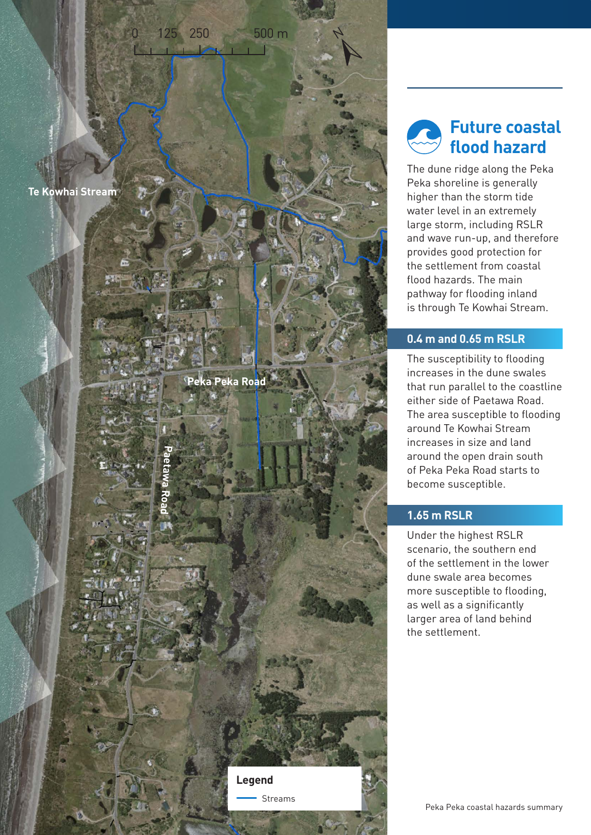

**Peka Peka Road**

125 250 500 m

 $\mathbf{1}$ 

**Legend**

Streams

**Paetawa Road**

**Future coastal flood hazard**

N

The dune ridge along the Peka Peka shoreline is generally higher than the storm tide water level in an extremely large storm, including RSLR and wave run-up, and therefore provides good protection for the settlement from coastal flood hazards. The main pathway for flooding inland is through Te Kowhai Stream.

#### **0.4 m and 0.65 m RSLR**

The susceptibility to flooding increases in the dune swales that run parallel to the coastline either side of Paetawa Road. The area susceptible to flooding around Te Kowhai Stream increases in size and land around the open drain south of Peka Peka Road starts to become susceptible.

#### **1.65 m RSLR**

Under the highest RSLR scenario, the southern end of the settlement in the lower dune swale area becomes more susceptible to flooding, as well as a significantly larger area of land behind the settlement.